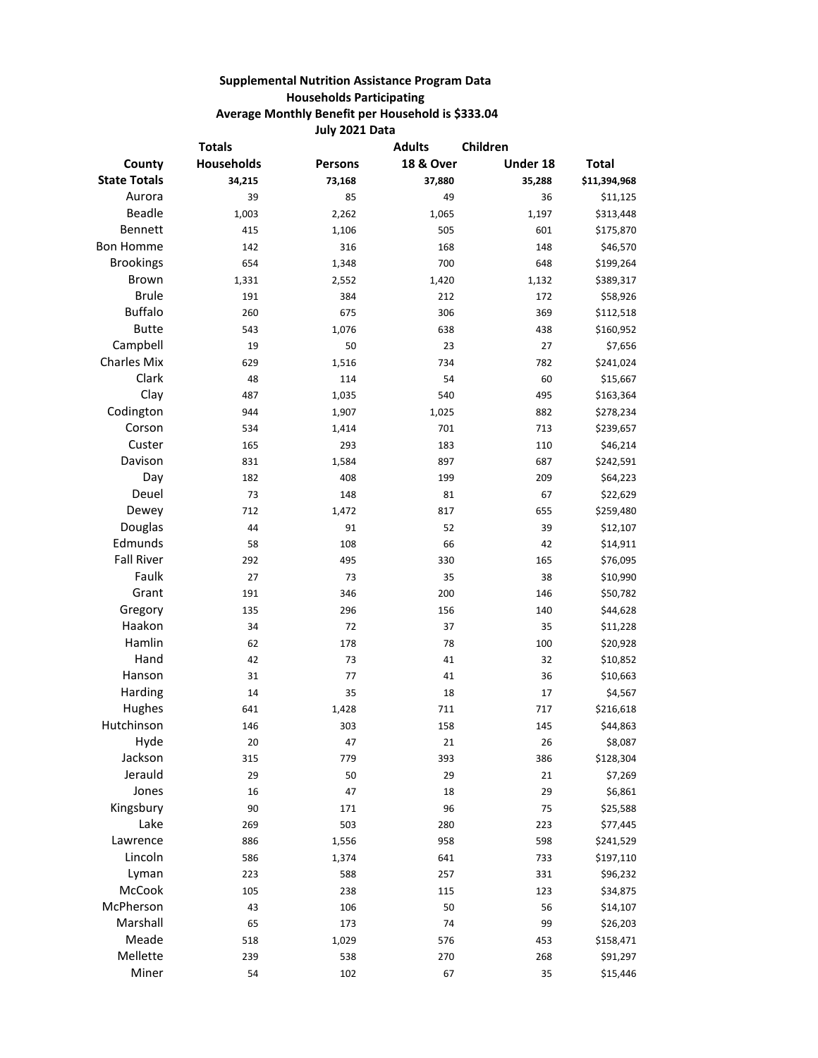## **Supplemental Nutrition Assistance Program Data Households Participating Average Monthly Benefit per Household is \$333.04 July 2021 Data**

| <b>Totals</b>       |                   | <b>Adults</b>  | Children             |          |              |
|---------------------|-------------------|----------------|----------------------|----------|--------------|
| County              | <b>Households</b> | <b>Persons</b> | <b>18 &amp; Over</b> | Under 18 | <b>Total</b> |
| <b>State Totals</b> | 34,215            | 73,168         | 37,880               | 35,288   | \$11,394,968 |
| Aurora              | 39                | 85             | 49                   | 36       | \$11,125     |
| <b>Beadle</b>       | 1,003             | 2,262          | 1,065                | 1,197    | \$313,448    |
| Bennett             | 415               | 1,106          | 505                  | 601      | \$175,870    |
| <b>Bon Homme</b>    | 142               | 316            | 168                  | 148      | \$46,570     |
| <b>Brookings</b>    | 654               | 1,348          | 700                  | 648      | \$199,264    |
| Brown               | 1,331             | 2,552          | 1,420                | 1,132    | \$389,317    |
| <b>Brule</b>        | 191               | 384            | 212                  | 172      | \$58,926     |
| <b>Buffalo</b>      | 260               | 675            | 306                  | 369      | \$112,518    |
| <b>Butte</b>        | 543               | 1,076          | 638                  | 438      | \$160,952    |
| Campbell            | 19                | 50             | 23                   | 27       | \$7,656      |
| <b>Charles Mix</b>  | 629               | 1,516          | 734                  | 782      | \$241,024    |
| Clark               | 48                | 114            | 54                   | 60       | \$15,667     |
| Clay                | 487               | 1,035          | 540                  | 495      | \$163,364    |
| Codington           | 944               | 1,907          | 1,025                | 882      | \$278,234    |
| Corson              | 534               | 1,414          | 701                  | 713      | \$239,657    |
| Custer              | 165               | 293            | 183                  | 110      | \$46,214     |
| Davison             | 831               | 1,584          | 897                  | 687      | \$242,591    |
| Day                 | 182               | 408            | 199                  | 209      | \$64,223     |
| Deuel               | 73                | 148            | 81                   | 67       | \$22,629     |
| Dewey               | 712               | 1,472          | 817                  | 655      | \$259,480    |
| Douglas             | 44                | 91             | 52                   | 39       | \$12,107     |
| Edmunds             | 58                | 108            | 66                   | 42       | \$14,911     |
| <b>Fall River</b>   | 292               | 495            | 330                  | 165      | \$76,095     |
| Faulk               | 27                | 73             | 35                   | 38       | \$10,990     |
| Grant               | 191               | 346            | 200                  | 146      | \$50,782     |
| Gregory             | 135               | 296            | 156                  | 140      | \$44,628     |
| Haakon              | 34                | 72             | 37                   | 35       | \$11,228     |
| Hamlin              | 62                | 178            | 78                   | 100      | \$20,928     |
| Hand                | 42                | 73             | 41                   | 32       | \$10,852     |
| Hanson              | 31                | 77             | 41                   | 36       | \$10,663     |
| Harding             | 14                | 35             | 18                   | 17       | \$4,567      |
| Hughes              | 641               | 1,428          | 711                  | 717      | \$216,618    |
| Hutchinson          | 146               | 303            | 158                  | 145      | \$44,863     |
| Hyde                | 20                | 47             | 21                   | 26       | \$8,087      |
| Jackson             | 315               | 779            | 393                  | 386      | \$128,304    |
| Jerauld             | 29                | 50             | 29                   | 21       | \$7,269      |
| Jones               | 16                | 47             | 18                   | 29       | \$6,861      |
| Kingsbury           | 90                | 171            | 96                   | 75       | \$25,588     |
| Lake                | 269               | 503            | 280                  | 223      | \$77,445     |
| Lawrence            | 886               | 1,556          | 958                  | 598      | \$241,529    |
| Lincoln             | 586               | 1,374          | 641                  | 733      | \$197,110    |
| Lyman               | 223               | 588            | 257                  | 331      | \$96,232     |
| McCook              | 105               | 238            | 115                  | 123      | \$34,875     |
| McPherson           | 43                | 106            | 50                   | 56       | \$14,107     |
| Marshall            | 65                | 173            | 74                   | 99       | \$26,203     |
| Meade               | 518               | 1,029          | 576                  | 453      | \$158,471    |
| Mellette            | 239               | 538            | 270                  | 268      | \$91,297     |
| Miner               | 54                | 102            | 67                   | 35       | \$15,446     |